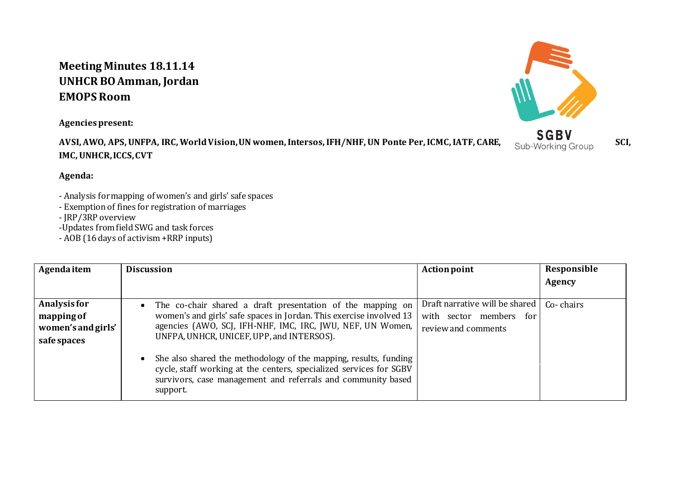## **Meeting Minutes 18.11.14 UNHCR BO Amman, Jordan EMOPS Room**

**Agencies present:**

**AVSI, AWO, APS, UNFPA, IRC, World Vision, UN women, Intersos, IFH/NHF, UN Ponte Per, ICMC, IATF, CARE, Sub-Working Group SCI, IMC, UNHCR, ICCS, CVT**



## **Agenda:**

- Analysis for mapping of women's and girls' safe spaces

- Exemption of fines for registration of marriages

- JRP/3RP overview

-Updates from field SWG and task forces

- AOB (16 days of activism +RRP inputs)

| Agenda item                                                     | <b>Discussion</b>                                                                                                                                                                                                                            | <b>Action point</b>                                                              | Responsible |
|-----------------------------------------------------------------|----------------------------------------------------------------------------------------------------------------------------------------------------------------------------------------------------------------------------------------------|----------------------------------------------------------------------------------|-------------|
|                                                                 |                                                                                                                                                                                                                                              |                                                                                  | Agency      |
| Analysis for<br>mapping of<br>women's and girls'<br>safe spaces | The co-chair shared a draft presentation of the mapping on<br>women's and girls' safe spaces in Jordan. This exercise involved 13<br>agencies (AWO, SCJ, IFH-NHF, IMC, IRC, JWU, NEF, UN Women,<br>UNFPA, UNHCR, UNICEF, UPP, and INTERSOS). | Draft narrative will be shared<br>with sector members for<br>review and comments | Co-chairs   |
|                                                                 | She also shared the methodology of the mapping, results, funding<br>cycle, staff working at the centers, specialized services for SGBV<br>survivors, case management and referrals and community based<br>support.                           |                                                                                  |             |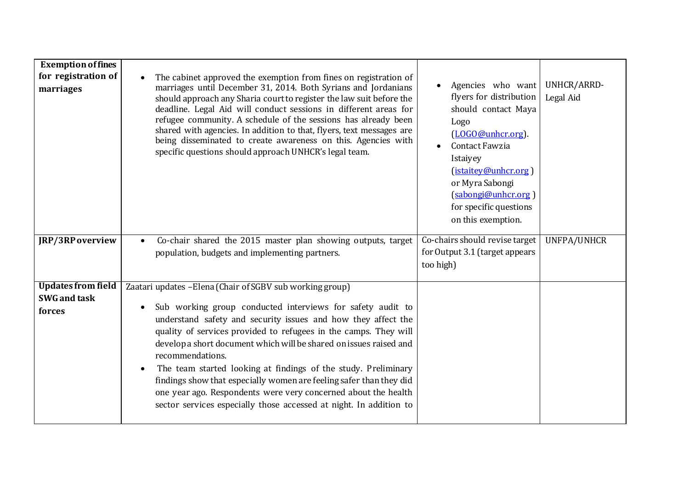| <b>Exemption of fines</b><br>for registration of<br>marriages | The cabinet approved the exemption from fines on registration of<br>marriages until December 31, 2014. Both Syrians and Jordanians<br>should approach any Sharia court to register the law suit before the<br>deadline. Legal Aid will conduct sessions in different areas for<br>refugee community. A schedule of the sessions has already been<br>shared with agencies. In addition to that, flyers, text messages are<br>being disseminated to create awareness on this. Agencies with<br>specific questions should approach UNHCR's legal team.                                                                                     | Agencies who want<br>flyers for distribution<br>should contact Maya<br>Logo<br>(LOGO@unhcr.org).<br>Contact Fawzia<br>Istaiyey<br>(istaitey@unhcr.org)<br>or Myra Sabongi<br>(sabongi@unhcr.org)<br>for specific questions<br>on this exemption. | UNHCR/ARRD-<br>Legal Aid |
|---------------------------------------------------------------|-----------------------------------------------------------------------------------------------------------------------------------------------------------------------------------------------------------------------------------------------------------------------------------------------------------------------------------------------------------------------------------------------------------------------------------------------------------------------------------------------------------------------------------------------------------------------------------------------------------------------------------------|--------------------------------------------------------------------------------------------------------------------------------------------------------------------------------------------------------------------------------------------------|--------------------------|
| JRP/3RP overview                                              | Co-chair shared the 2015 master plan showing outputs, target<br>population, budgets and implementing partners.                                                                                                                                                                                                                                                                                                                                                                                                                                                                                                                          | Co-chairs should revise target<br>for Output 3.1 (target appears<br>too high)                                                                                                                                                                    | UNFPA/UNHCR              |
| <b>Updates from field</b><br><b>SWG</b> and task<br>forces    | Zaatari updates - Elena (Chair of SGBV sub working group)<br>Sub working group conducted interviews for safety audit to<br>understand safety and security issues and how they affect the<br>quality of services provided to refugees in the camps. They will<br>develop a short document which will be shared on issues raised and<br>recommendations.<br>The team started looking at findings of the study. Preliminary<br>findings show that especially women are feeling safer than they did<br>one year ago. Respondents were very concerned about the health<br>sector services especially those accessed at night. In addition to |                                                                                                                                                                                                                                                  |                          |